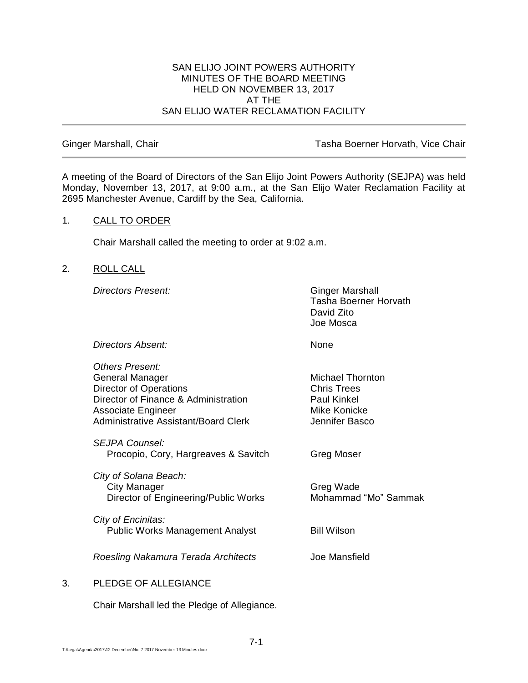#### SAN ELIJO JOINT POWERS AUTHORITY MINUTES OF THE BOARD MEETING HELD ON NOVEMBER 13, 2017 AT THE SAN ELIJO WATER RECLAMATION FACILITY

Ginger Marshall, Chair **Tasha Boerner Horvath, Vice Chair** Tasha Boerner Horvath, Vice Chair

A meeting of the Board of Directors of the San Elijo Joint Powers Authority (SEJPA) was held Monday, November 13, 2017, at 9:00 a.m., at the San Elijo Water Reclamation Facility at 2695 Manchester Avenue, Cardiff by the Sea, California.

#### 1. CALL TO ORDER

Chair Marshall called the meeting to order at 9:02 a.m.

# 2. ROLL CALL

**Directors Present:** Ginger Marshall

Tasha Boerner Horvath David Zito Joe Mosca

*Directors Absent:* None

*Others Present:* General Manager Michael Thornton Director of Operations **Chris Trees** Director of Finance & Administration Paul Kinkel Associate Engineer Mike Konicke Administrative Assistant/Board Clerk Jennifer Basco *SEJPA Counsel:* Procopio, Cory, Hargreaves & Savitch Greg Moser *City of Solana Beach:* City Manager Greg Wade Director of Engineering/Public Works Mohammad "Mo" Sammak *City of Encinitas:* Public Works Management Analyst Bill Wilson *Roesling Nakamura Terada Architects* Joe Mansfield

# 3. PLEDGE OF ALLEGIANCE

Chair Marshall led the Pledge of Allegiance.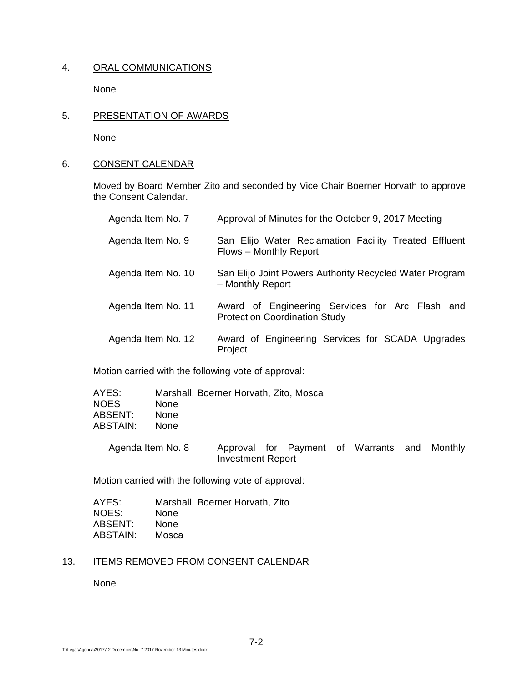# 4. ORAL COMMUNICATIONS

None

5. PRESENTATION OF AWARDS

None

#### 6. CONSENT CALENDAR

Moved by Board Member Zito and seconded by Vice Chair Boerner Horvath to approve the Consent Calendar.

| Agenda Item No. 7  | Approval of Minutes for the October 9, 2017 Meeting                                     |
|--------------------|-----------------------------------------------------------------------------------------|
| Agenda Item No. 9  | San Elijo Water Reclamation Facility Treated Effluent<br>Flows - Monthly Report         |
| Agenda Item No. 10 | San Elijo Joint Powers Authority Recycled Water Program<br>- Monthly Report             |
| Agenda Item No. 11 | Award of Engineering Services for Arc Flash and<br><b>Protection Coordination Study</b> |
| Agenda Item No. 12 | Award of Engineering Services for SCADA Upgrades<br>Project                             |

Motion carried with the following vote of approval:

| AYES:    | Marshall, Boerner Horvath, Zito, Mosca |
|----------|----------------------------------------|
| NOES.    | <b>None</b>                            |
| ABSENT:  | <b>None</b>                            |
| ABSTAIN: | <b>None</b>                            |
|          |                                        |

Agenda Item No. 8 Approval for Payment of Warrants and Monthly Investment Report

Motion carried with the following vote of approval:

| AYES:    | Marshall, Boerner Horvath, Zito |
|----------|---------------------------------|
| NOES:    | None                            |
| ABSENT:  | <b>None</b>                     |
| ABSTAIN: | Mosca                           |

# 13. ITEMS REMOVED FROM CONSENT CALENDAR

None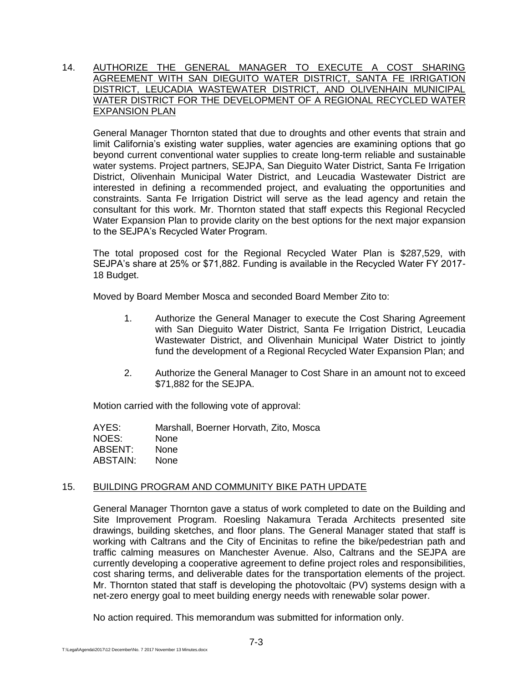#### 14. AUTHORIZE THE GENERAL MANAGER TO EXECUTE A COST SHARING AGREEMENT WITH SAN DIEGUITO WATER DISTRICT, SANTA FE IRRIGATION DISTRICT, LEUCADIA WASTEWATER DISTRICT, AND OLIVENHAIN MUNICIPAL WATER DISTRICT FOR THE DEVELOPMENT OF A REGIONAL RECYCLED WATER EXPANSION PLAN

General Manager Thornton stated that due to droughts and other events that strain and limit California's existing water supplies, water agencies are examining options that go beyond current conventional water supplies to create long-term reliable and sustainable water systems. Project partners, SEJPA, San Dieguito Water District, Santa Fe Irrigation District, Olivenhain Municipal Water District, and Leucadia Wastewater District are interested in defining a recommended project, and evaluating the opportunities and constraints. Santa Fe Irrigation District will serve as the lead agency and retain the consultant for this work. Mr. Thornton stated that staff expects this Regional Recycled Water Expansion Plan to provide clarity on the best options for the next major expansion to the SEJPA's Recycled Water Program.

The total proposed cost for the Regional Recycled Water Plan is \$287,529, with SEJPA's share at 25% or \$71,882. Funding is available in the Recycled Water FY 2017- 18 Budget.

Moved by Board Member Mosca and seconded Board Member Zito to:

- 1. Authorize the General Manager to execute the Cost Sharing Agreement with San Dieguito Water District, Santa Fe Irrigation District, Leucadia Wastewater District, and Olivenhain Municipal Water District to jointly fund the development of a Regional Recycled Water Expansion Plan; and
- 2. Authorize the General Manager to Cost Share in an amount not to exceed \$71,882 for the SEJPA.

Motion carried with the following vote of approval:

| AYES:    | Marshall, Boerner Horvath, Zito, Mosca |
|----------|----------------------------------------|
| NOES:    | <b>None</b>                            |
| ABSENT:  | <b>None</b>                            |
| ABSTAIN: | <b>None</b>                            |

# 15. BUILDING PROGRAM AND COMMUNITY BIKE PATH UPDATE

General Manager Thornton gave a status of work completed to date on the Building and Site Improvement Program. Roesling Nakamura Terada Architects presented site drawings, building sketches, and floor plans. The General Manager stated that staff is working with Caltrans and the City of Encinitas to refine the bike/pedestrian path and traffic calming measures on Manchester Avenue. Also, Caltrans and the SEJPA are currently developing a cooperative agreement to define project roles and responsibilities, cost sharing terms, and deliverable dates for the transportation elements of the project. Mr. Thornton stated that staff is developing the photovoltaic (PV) systems design with a net-zero energy goal to meet building energy needs with renewable solar power.

No action required. This memorandum was submitted for information only.